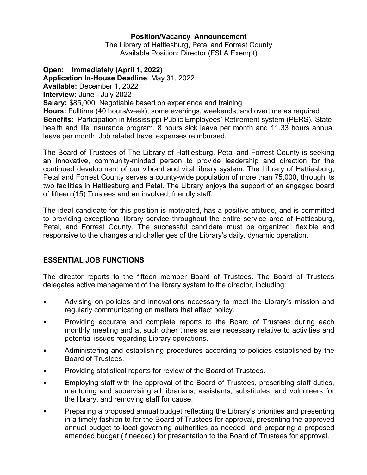## **Position/Vacancy Announcement**

The Library of Hattiesburg, Petal and Forrest County Available Position: Director (FSLA Exempt)

## **Open: Immediately (April 1, 2022)**

**Application In-House Deadline**: May 31, 2022

**Available:** December 1, 2022

**Interview:** June - July 2022

**Salary:** \$85,000, Negotiable based on experience and training

**Hours:** Fulltime (40 hours/week), some evenings, weekends, and overtime as required **Benefits**: Participation in Mississippi Public Employees' Retirement system (PERS), State health and life insurance program, 8 hours sick leave per month and 11.33 hours annual leave per month. Job related travel expenses reimbursed.

The Board of Trustees of The Library of Hattiesburg, Petal and Forrest County is seeking an innovative, community-minded person to provide leadership and direction for the continued development of our vibrant and vital library system. The Library of Hattiesburg, Petal and Forrest County serves a county-wide population of more than 75,000, through its two facilities in Hattiesburg and Petal. The Library enjoys the support of an engaged board of fifteen (15) Trustees and an involved, friendly staff.

The ideal candidate for this position is motivated, has a positive attitude, and is committed to providing exceptional library service throughout the entire service area of Hattiesburg, Petal, and Forrest County. The successful candidate must be organized, flexible and responsive to the changes and challenges of the Library's daily, dynamic operation.

## **ESSENTIAL JOB FUNCTIONS**

The director reports to the fifteen member Board of Trustees. The Board of Trustees delegates active management of the library system to the director, including:

- Advising on policies and innovations necessary to meet the Library's mission and regularly communicating on matters that affect policy.
- Providing accurate and complete reports to the Board of Trustees during each monthly meeting and at such other times as are necessary relative to activities and potential issues regarding Library operations.
- Administering and establishing procedures according to policies established by the Board of Trustees.
- Providing statistical reports for review of the Board of Trustees.
- Employing staff with the approval of the Board of Trustees, prescribing staff duties, mentoring and supervising all librarians, assistants, substitutes, and volunteers for the library, and removing staff for cause.
- Preparing a proposed annual budget reflecting the Library's priorities and presenting in a timely fashion to for the Board of Trustees for approval, presenting the approved annual budget to local governing authorities as needed, and preparing a proposed amended budget (if needed) for presentation to the Board of Trustees for approval.